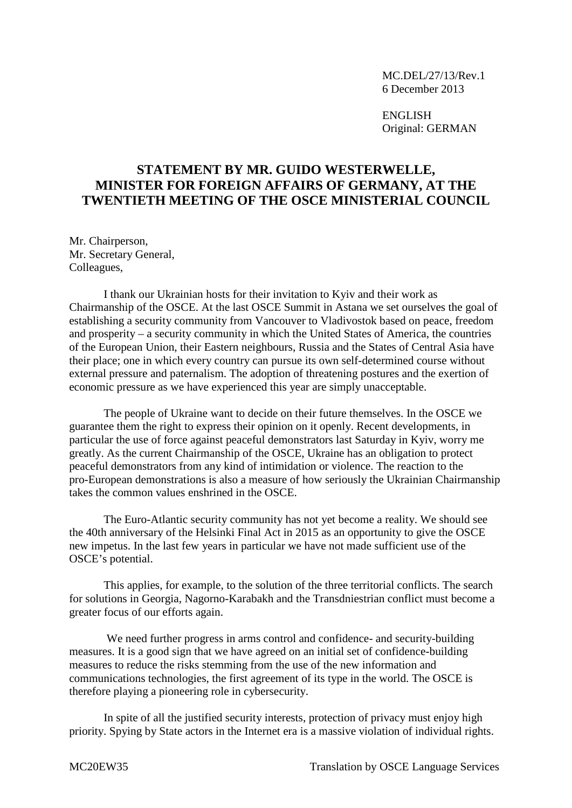MC.DEL/27/13/Rev.1 6 December 2013

ENGLISH Original: GERMAN

## **STATEMENT BY MR. GUIDO WESTERWELLE, MINISTER FOR FOREIGN AFFAIRS OF GERMANY, AT THE TWENTIETH MEETING OF THE OSCE MINISTERIAL COUNCIL**

Mr. Chairperson, Mr. Secretary General, Colleagues,

I thank our Ukrainian hosts for their invitation to Kyiv and their work as Chairmanship of the OSCE. At the last OSCE Summit in Astana we set ourselves the goal of establishing a security community from Vancouver to Vladivostok based on peace, freedom and prosperity – a security community in which the United States of America, the countries of the European Union, their Eastern neighbours, Russia and the States of Central Asia have their place; one in which every country can pursue its own self-determined course without external pressure and paternalism. The adoption of threatening postures and the exertion of economic pressure as we have experienced this year are simply unacceptable.

The people of Ukraine want to decide on their future themselves. In the OSCE we guarantee them the right to express their opinion on it openly. Recent developments, in particular the use of force against peaceful demonstrators last Saturday in Kyiv, worry me greatly. As the current Chairmanship of the OSCE, Ukraine has an obligation to protect peaceful demonstrators from any kind of intimidation or violence. The reaction to the pro-European demonstrations is also a measure of how seriously the Ukrainian Chairmanship takes the common values enshrined in the OSCE.

The Euro-Atlantic security community has not yet become a reality. We should see the 40th anniversary of the Helsinki Final Act in 2015 as an opportunity to give the OSCE new impetus. In the last few years in particular we have not made sufficient use of the OSCE's potential.

This applies, for example, to the solution of the three territorial conflicts. The search for solutions in Georgia, Nagorno-Karabakh and the Transdniestrian conflict must become a greater focus of our efforts again.

We need further progress in arms control and confidence- and security-building measures. It is a good sign that we have agreed on an initial set of confidence-building measures to reduce the risks stemming from the use of the new information and communications technologies, the first agreement of its type in the world. The OSCE is therefore playing a pioneering role in cybersecurity.

In spite of all the justified security interests, protection of privacy must enjoy high priority. Spying by State actors in the Internet era is a massive violation of individual rights.